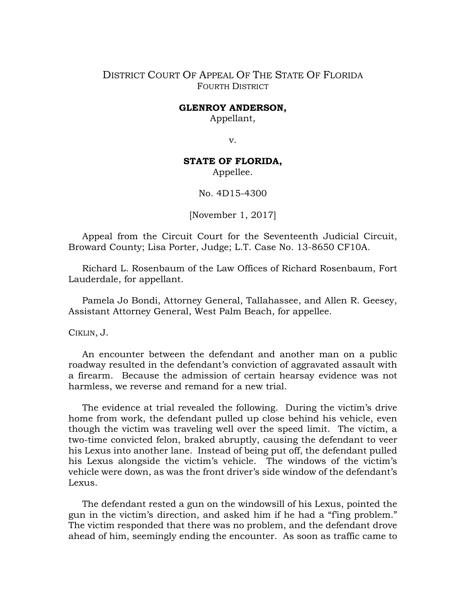## DISTRICT COURT OF APPEAL OF THE STATE OF FLORIDA FOURTH DISTRICT

## **GLENROY ANDERSON,**

Appellant,

v.

## **STATE OF FLORIDA,**

Appellee.

No. 4D15-4300

[November 1, 2017]

Appeal from the Circuit Court for the Seventeenth Judicial Circuit, Broward County; Lisa Porter, Judge; L.T. Case No. 13-8650 CF10A.

Richard L. Rosenbaum of the Law Offices of Richard Rosenbaum, Fort Lauderdale, for appellant.

Pamela Jo Bondi, Attorney General, Tallahassee, and Allen R. Geesey, Assistant Attorney General, West Palm Beach, for appellee.

CIKLIN, J.

An encounter between the defendant and another man on a public roadway resulted in the defendant's conviction of aggravated assault with a firearm. Because the admission of certain hearsay evidence was not harmless, we reverse and remand for a new trial.

The evidence at trial revealed the following. During the victim's drive home from work, the defendant pulled up close behind his vehicle, even though the victim was traveling well over the speed limit. The victim, a two-time convicted felon, braked abruptly, causing the defendant to veer his Lexus into another lane. Instead of being put off, the defendant pulled his Lexus alongside the victim's vehicle. The windows of the victim's vehicle were down, as was the front driver's side window of the defendant's Lexus.

The defendant rested a gun on the windowsill of his Lexus, pointed the gun in the victim's direction, and asked him if he had a "f'ing problem." The victim responded that there was no problem, and the defendant drove ahead of him, seemingly ending the encounter. As soon as traffic came to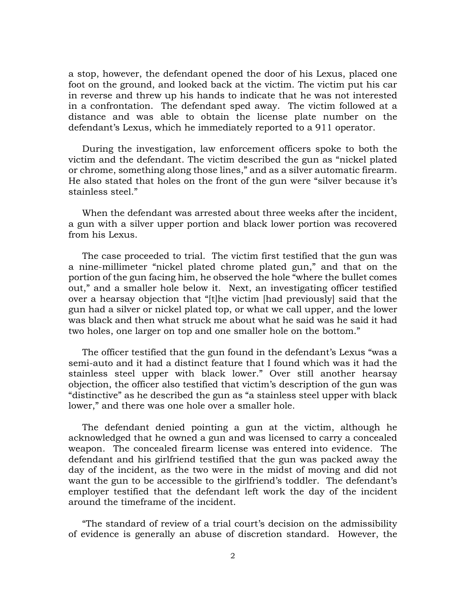a stop, however, the defendant opened the door of his Lexus, placed one foot on the ground, and looked back at the victim. The victim put his car in reverse and threw up his hands to indicate that he was not interested in a confrontation. The defendant sped away. The victim followed at a distance and was able to obtain the license plate number on the defendant's Lexus, which he immediately reported to a 911 operator.

During the investigation, law enforcement officers spoke to both the victim and the defendant. The victim described the gun as "nickel plated or chrome, something along those lines," and as a silver automatic firearm. He also stated that holes on the front of the gun were "silver because it's stainless steel."

When the defendant was arrested about three weeks after the incident, a gun with a silver upper portion and black lower portion was recovered from his Lexus.

The case proceeded to trial. The victim first testified that the gun was a nine-millimeter "nickel plated chrome plated gun," and that on the portion of the gun facing him, he observed the hole "where the bullet comes out," and a smaller hole below it. Next, an investigating officer testified over a hearsay objection that "[t]he victim [had previously] said that the gun had a silver or nickel plated top, or what we call upper, and the lower was black and then what struck me about what he said was he said it had two holes, one larger on top and one smaller hole on the bottom."

The officer testified that the gun found in the defendant's Lexus "was a semi-auto and it had a distinct feature that I found which was it had the stainless steel upper with black lower." Over still another hearsay objection, the officer also testified that victim's description of the gun was "distinctive" as he described the gun as "a stainless steel upper with black lower," and there was one hole over a smaller hole.

The defendant denied pointing a gun at the victim, although he acknowledged that he owned a gun and was licensed to carry a concealed weapon. The concealed firearm license was entered into evidence. The defendant and his girlfriend testified that the gun was packed away the day of the incident, as the two were in the midst of moving and did not want the gun to be accessible to the girlfriend's toddler. The defendant's employer testified that the defendant left work the day of the incident around the timeframe of the incident.

"The standard of review of a trial court's decision on the admissibility of evidence is generally an abuse of discretion standard. However, the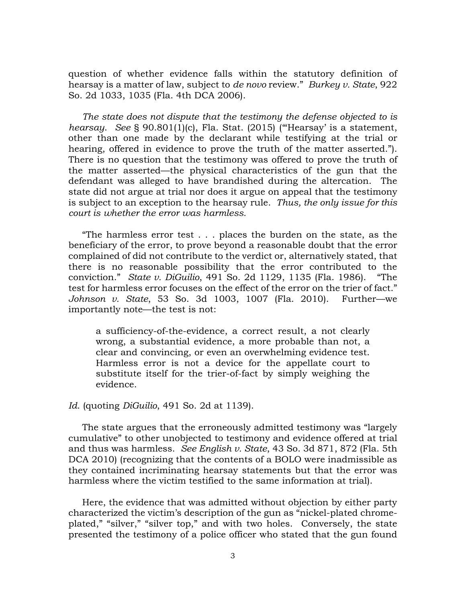question of whether evidence falls within the statutory definition of hearsay is a matter of law, subject to *de novo* review." *Burkey v. State*, 922 So. 2d 1033, 1035 (Fla. 4th DCA 2006).

*The state does not dispute that the testimony the defense objected to is hearsay*. *See* § 90.801(1)(c), Fla. Stat. (2015) ('"Hearsay' is a statement, other than one made by the declarant while testifying at the trial or hearing, offered in evidence to prove the truth of the matter asserted."). There is no question that the testimony was offered to prove the truth of the matter asserted—the physical characteristics of the gun that the defendant was alleged to have brandished during the altercation. The state did not argue at trial nor does it argue on appeal that the testimony is subject to an exception to the hearsay rule. *Thus, the only issue for this court is whether the error was harmless.*

"The harmless error test . . . places the burden on the state, as the beneficiary of the error, to prove beyond a reasonable doubt that the error complained of did not contribute to the verdict or, alternatively stated, that there is no reasonable possibility that the error contributed to the conviction." *State v. DiGuilio*, 491 So. 2d 1129, 1135 (Fla. 1986). "The test for harmless error focuses on the effect of the error on the trier of fact." *Johnson v. State*, 53 So. 3d 1003, 1007 (Fla. 2010). Further—we importantly note—the test is not:

a sufficiency-of-the-evidence, a correct result, a not clearly wrong, a substantial evidence, a more probable than not, a clear and convincing, or even an overwhelming evidence test. Harmless error is not a device for the appellate court to substitute itself for the trier-of-fact by simply weighing the evidence.

## *Id*. (quoting *DiGuilio*, 491 So. 2d at 1139).

The state argues that the erroneously admitted testimony was "largely cumulative" to other unobjected to testimony and evidence offered at trial and thus was harmless. *See English v. State*, 43 So. 3d 871, 872 (Fla. 5th DCA 2010) (recognizing that the contents of a BOLO were inadmissible as they contained incriminating hearsay statements but that the error was harmless where the victim testified to the same information at trial).

Here, the evidence that was admitted without objection by either party characterized the victim's description of the gun as "nickel-plated chromeplated," "silver," "silver top," and with two holes. Conversely, the state presented the testimony of a police officer who stated that the gun found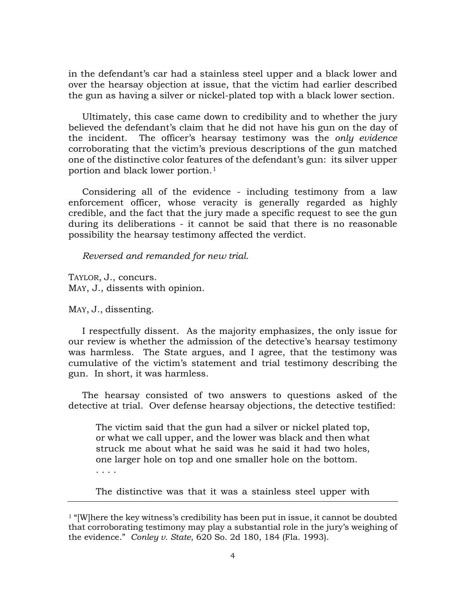in the defendant's car had a stainless steel upper and a black lower and over the hearsay objection at issue, that the victim had earlier described the gun as having a silver or nickel-plated top with a black lower section.

Ultimately, this case came down to credibility and to whether the jury believed the defendant's claim that he did not have his gun on the day of the incident. The officer's hearsay testimony was the *only evidence* corroborating that the victim's previous descriptions of the gun matched one of the distinctive color features of the defendant's gun: its silver upper portion and black lower portion.[1](#page-3-0)

Considering all of the evidence - including testimony from a law enforcement officer, whose veracity is generally regarded as highly credible, and the fact that the jury made a specific request to see the gun during its deliberations - it cannot be said that there is no reasonable possibility the hearsay testimony affected the verdict.

*Reversed and remanded for new trial.*

TAYLOR, J., concurs. MAY, J., dissents with opinion.

MAY, J., dissenting.

I respectfully dissent. As the majority emphasizes, the only issue for our review is whether the admission of the detective's hearsay testimony was harmless. The State argues, and I agree, that the testimony was cumulative of the victim's statement and trial testimony describing the gun. In short, it was harmless.

The hearsay consisted of two answers to questions asked of the detective at trial. Over defense hearsay objections, the detective testified:

The victim said that the gun had a silver or nickel plated top, or what we call upper, and the lower was black and then what struck me about what he said was he said it had two holes, one larger hole on top and one smaller hole on the bottom.

The distinctive was that it was a stainless steel upper with

<span id="page-3-0"></span><sup>1</sup> "[W]here the key witness's credibility has been put in issue, it cannot be doubted that corroborating testimony may play a substantial role in the jury's weighing of the evidence." *Conley v. State*, 620 So. 2d 180, 184 (Fla. 1993).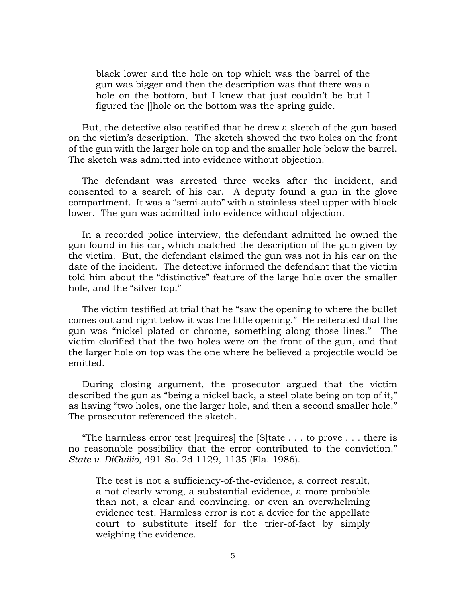black lower and the hole on top which was the barrel of the gun was bigger and then the description was that there was a hole on the bottom, but I knew that just couldn't be but I figured the []hole on the bottom was the spring guide.

But, the detective also testified that he drew a sketch of the gun based on the victim's description. The sketch showed the two holes on the front of the gun with the larger hole on top and the smaller hole below the barrel. The sketch was admitted into evidence without objection.

The defendant was arrested three weeks after the incident, and consented to a search of his car. A deputy found a gun in the glove compartment. It was a "semi-auto" with a stainless steel upper with black lower. The gun was admitted into evidence without objection.

In a recorded police interview, the defendant admitted he owned the gun found in his car, which matched the description of the gun given by the victim. But, the defendant claimed the gun was not in his car on the date of the incident. The detective informed the defendant that the victim told him about the "distinctive" feature of the large hole over the smaller hole, and the "silver top."

The victim testified at trial that he "saw the opening to where the bullet comes out and right below it was the little opening." He reiterated that the gun was "nickel plated or chrome, something along those lines." The victim clarified that the two holes were on the front of the gun, and that the larger hole on top was the one where he believed a projectile would be emitted.

During closing argument, the prosecutor argued that the victim described the gun as "being a nickel back, a steel plate being on top of it," as having "two holes, one the larger hole, and then a second smaller hole." The prosecutor referenced the sketch.

"The harmless error test [requires] the [S]tate . . . to prove . . . there is no reasonable possibility that the error contributed to the conviction." *State v. DiGuilio*, 491 So. 2d 1129, 1135 (Fla. 1986).

The test is not a sufficiency-of-the-evidence, a correct result, a not clearly wrong, a substantial evidence, a more probable than not, a clear and convincing, or even an overwhelming evidence test. Harmless error is not a device for the appellate court to substitute itself for the trier-of-fact by simply weighing the evidence.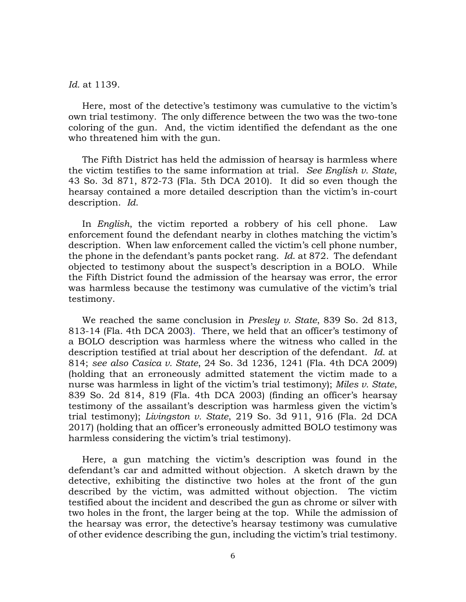*Id.* at 1139.

Here, most of the detective's testimony was cumulative to the victim's own trial testimony. The only difference between the two was the two-tone coloring of the gun. And, the victim identified the defendant as the one who threatened him with the gun.

The Fifth District has held the admission of hearsay is harmless where the victim testifies to the same information at trial. *See English v. State*, 43 So. 3d 871, 872-73 (Fla. 5th DCA 2010). It did so even though the hearsay contained a more detailed description than the victim's in-court description. *Id*.

In *English*, the victim reported a robbery of his cell phone. Law enforcement found the defendant nearby in clothes matching the victim's description. When law enforcement called the victim's cell phone number, the phone in the defendant's pants pocket rang. *Id*. at 872. The defendant objected to testimony about the suspect's description in a BOLO. While the Fifth District found the admission of the hearsay was error, the error was harmless because the testimony was cumulative of the victim's trial testimony.

We reached the same conclusion in *Presley v. State*, 839 So. 2d 813, 813-14 (Fla. 4th DCA 2003). There, we held that an officer's testimony of a BOLO description was harmless where the witness who called in the description testified at trial about her description of the defendant. *Id*. at 814; *see also Casica v. State*, 24 So. 3d 1236, 1241 (Fla. 4th DCA 2009) (holding that an erroneously admitted statement the victim made to a nurse was harmless in light of the victim's trial testimony); *Miles v. State*, 839 So. 2d 814, 819 (Fla. 4th DCA 2003) (finding an officer's hearsay testimony of the assailant's description was harmless given the victim's trial testimony); *Livingston v. State*, 219 So. 3d 911, 916 (Fla. 2d DCA 2017) (holding that an officer's erroneously admitted BOLO testimony was harmless considering the victim's trial testimony).

Here, a gun matching the victim's description was found in the defendant's car and admitted without objection. A sketch drawn by the detective, exhibiting the distinctive two holes at the front of the gun described by the victim, was admitted without objection. The victim testified about the incident and described the gun as chrome or silver with two holes in the front, the larger being at the top. While the admission of the hearsay was error, the detective's hearsay testimony was cumulative of other evidence describing the gun, including the victim's trial testimony.